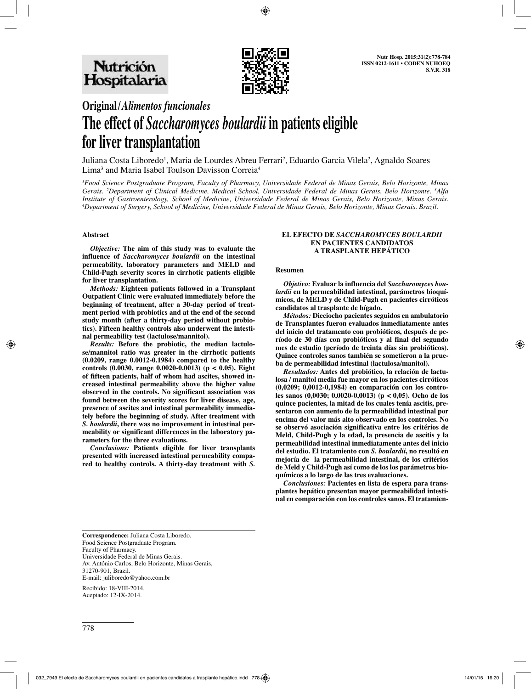

# **Original/***Alimentos funcionales* **The effect of** *Saccharomyces boulardii* **in patients eligible for liver transplantation**

Juliana Costa Liboredo<sup>1</sup>, Maria de Lourdes Abreu Ferrari<sup>2</sup>, Eduardo Garcia Vilela<sup>2</sup>, Agnaldo Soares Lima<sup>3</sup> and Maria Isabel Toulson Davisson Correia<sup>4</sup>

*1 Food Science Postgraduate Program, Faculty of Pharmacy, Universidade Federal de Minas Gerais, Belo Horizonte, Minas Gerais. 2 Department of Clinical Medicine, Medical School, Universidade Federal de Minas Gerais, Belo Horizonte. 3 Alfa Institute of Gastroenterology, School of Medicine, Universidade Federal de Minas Gerais, Belo Horizonte, Minas Gerais. 4 Department of Surgery, School of Medicine, Universidade Federal de Minas Gerais, Belo Horizonte, Minas Gerais. Brazil.*

#### **Abstract**

*Objective:* **The aim of this study was to evaluate the influence of** *Saccharomyces boulardii* **on the intestinal permeability, laboratory parameters and MELD and Child-Pugh severity scores in cirrhotic patients eligible for liver transplantation.** 

*Methods:* **Eighteen patients followed in a Transplant Outpatient Clinic were evaluated immediately before the beginning of treatment, after a 30-day period of treatment period with probiotics and at the end of the second study month (after a thirty-day period without probiotics). Fifteen healthy controls also underwent the intestinal permeability test (lactulose/mannitol).** 

*Results:* **Before the probiotic, the median lactulose/mannitol ratio was greater in the cirrhotic patients (0.0209, range 0.0012-0.1984) compared to the healthy controls (0.0030, range 0.0020-0.0013) (p < 0.05). Eight of fifteen patients, half of whom had ascites, showed increased intestinal permeability above the higher value observed in the controls. No significant association was found between the severity scores for liver disease, age, presence of ascites and intestinal permeability immediately before the beginning of study. After treatment with**  *S. boulardii***, there was no improvement in intestinal permeability or significant differences in the laboratory parameters for the three evaluations.** 

*Conclusions:* **Patients eligible for liver transplants presented with increased intestinal permeability compared to healthy controls. A thirty-day treatment with** *S.* 

#### **EL EFECTO DE** *SACCHAROMYCES BOULARDII* **EN PACIENTES CANDIDATOS A TRASPLANTE HEPÁTICO**

#### **Resumen**

*Objetivo:* **Evaluar la influencia del** *Saccharomyces boulardii* **en la permeabilidad intestinal, parámetros bioquímicos, de MELD y de Child-Pugh en pacientes cirróticos candidatos al trasplante de hígado.**

*Métodos:* **Dieciocho pacientes seguidos en ambulatorio de Transplantes fueron evaluados inmediatamente antes del inicio del tratamento con probióticos, después de período de 30 días con probióticos y al final del segundo mes de estudio (período de treinta días sin probióticos). Quince controles sanos también se sometieron a la prueba de permeabilidad intestinal (lactulosa/manitol).** 

*Resultados:* **Antes del probiótico, la relación de lactulosa / manitol media fue mayor en los pacientes cirróticos (0,0209; 0,0012-0,1984) en comparación con los controles sanos (0,0030; 0,0020-0,0013) (p < 0,05). Ocho de los quince pacientes, la mitad de los cuales tenía ascitis, presentaron con aumento de la permeabilidad intestinal por encima del valor más alto observado en los controles. No se observó asociación significativa entre los critérios de Meld, Child-Pugh y la edad, la presencia de ascitis y la permeabilidad intestinal inmediatamente antes del inicio del estudio. El tratamiento con** *S. boulardii***, no resultó en mejoría de la permeabilidad intestinal, de los critérios de Meld y Child-Pugh así como de los los parámetros bioquímicos a lo largo de las tres evaluaciones.** 

*Conclusiones:* **Pacientes en lista de espera para transplantes hepático presentan mayor permeabilidad intestinal en comparación con los controles sanos. El tratamien-**

**Correspondence:** Juliana Costa Liboredo. Food Science Postgraduate Program. Faculty of Pharmacy. Universidade Federal de Minas Gerais. Av. Antônio Carlos, Belo Horizonte, Minas Gerais, 31270-901, Brazil. E-mail: juliboredo@yahoo.com.br

Recibido: 18-VIII-2014. Aceptado: 12-IX-2014.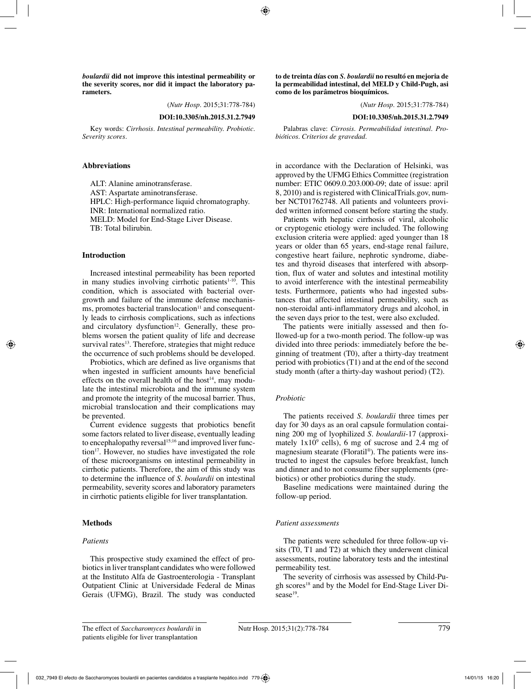*boulardii* **did not improve this intestinal permeability or the severity scores, nor did it impact the laboratory parameters.** 

(*Nutr Hosp.* 2015;31:778-784)

**DOI:10.3305/nh.2015.31.2.7949**

Key words: *Cirrhosis. Intestinal permeability. Probiotic. Severity scores.*

#### **Abbreviations**

ALT: Alanine aminotransferase. AST: Aspartate aminotransferase. HPLC: High-performance liquid chromatography. INR: International normalized ratio. MELD: Model for End-Stage Liver Disease. TB: Total bilirubin.

#### **Introduction**

Increased intestinal permeability has been reported in many studies involving cirrhotic patients $1-10$ . This condition, which is associated with bacterial overgrowth and failure of the immune defense mechanis- $\overline{m}$ s, promotes bacterial translocation<sup>11</sup> and consequently leads to cirrhosis complications, such as infections and circulatory dysfunction $12$ . Generally, these problems worsen the patient quality of life and decrease survival rates<sup>13</sup>. Therefore, strategies that might reduce the occurrence of such problems should be developed.

Probiotics, which are defined as live organisms that when ingested in sufficient amounts have beneficial effects on the overall health of the host<sup>14</sup>, may modulate the intestinal microbiota and the immune system and promote the integrity of the mucosal barrier. Thus, microbial translocation and their complications may be prevented.

Current evidence suggests that probiotics benefit some factors related to liver disease, eventually leading to encephalopathy reversal<sup>15;16</sup> and improved liver function<sup>17</sup>. However, no studies have investigated the role of these microorganisms on intestinal permeability in cirrhotic patients. Therefore, the aim of this study was to determine the influence of *S. boulardii* on intestinal permeability, severity scores and laboratory parameters in cirrhotic patients eligible for liver transplantation.

#### **Methods**

#### *Patients*

This prospective study examined the effect of probiotics in liver transplant candidates who were followed at the Instituto Alfa de Gastroenterologia - Transplant Outpatient Clinic at Universidade Federal de Minas Gerais (UFMG), Brazil. The study was conducted **to de treinta días con** *S. boulardii* **no resultó en mejoria de la permeabilidad intestinal, del MELD y Child-Pugh, asi como de los parâmetros bioquímicos.** 

(*Nutr Hosp.* 2015;31:778-784)

**DOI:10.3305/nh.2015.31.2.7949**

Palabras clave: *Cirrosis. Permeabilidad intestinal. Probióticos. Criterios de gravedad.*

in accordance with the Declaration of Helsinki, was approved by the UFMG Ethics Committee (registration number: ETIC 0609.0.203.000-09; date of issue: april 8, 2010) and is registered with ClinicalTrials.gov, number NCT01762748. All patients and volunteers provided written informed consent before starting the study.

Patients with hepatic cirrhosis of viral, alcoholic or cryptogenic etiology were included. The following exclusion criteria were applied: aged younger than 18 years or older than 65 years, end-stage renal failure, congestive heart failure, nephrotic syndrome, diabetes and thyroid diseases that interfered with absorption, flux of water and solutes and intestinal motility to avoid interference with the intestinal permeability tests. Furthermore, patients who had ingested substances that affected intestinal permeability, such as non-steroidal anti-inflammatory drugs and alcohol, in the seven days prior to the test, were also excluded.

The patients were initially assessed and then followed-up for a two-month period. The follow-up was divided into three periods: immediately before the beginning of treatment (T0), after a thirty-day treatment period with probiotics (T1) and at the end of the second study month (after a thirty-day washout period) (T2).

#### *Probiotic*

The patients received *S. boulardii* three times per day for 30 days as an oral capsule formulation containing 200 mg of lyophilized *S. boulardii*-17 (approximately  $1x10^9$  cells), 6 mg of sucrose and 2.4 mg of magnesium stearate (Floratil®). The patients were instructed to ingest the capsules before breakfast, lunch and dinner and to not consume fiber supplements (prebiotics) or other probiotics during the study.

Baseline medications were maintained during the follow-up period.

#### *Patient assessments*

The patients were scheduled for three follow-up visits (T0, T1 and T2) at which they underwent clinical assessments, routine laboratory tests and the intestinal permeability test.

The severity of cirrhosis was assessed by Child-Pugh scores<sup>18</sup> and by the Model for End-Stage Liver Disease<sup>19</sup>.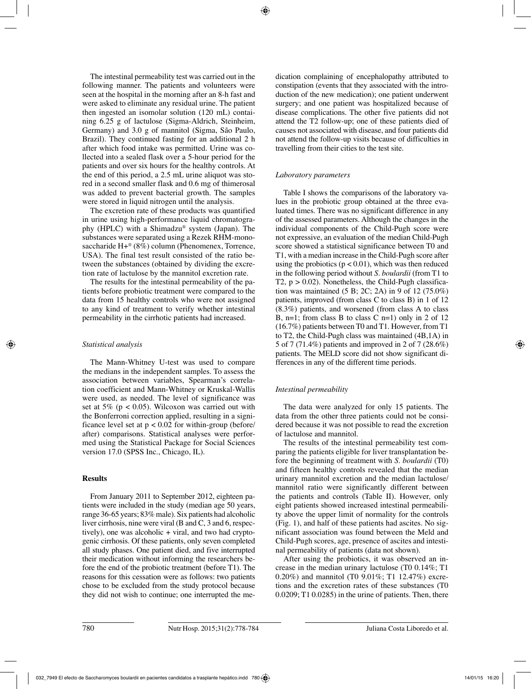The intestinal permeability test was carried out in the following manner. The patients and volunteers were seen at the hospital in the morning after an 8-h fast and were asked to eliminate any residual urine. The patient then ingested an isomolar solution (120 mL) containing 6.25 g of lactulose (Sigma-Aldrich, Steinheim, Germany) and 3.0 g of mannitol (Sigma, São Paulo, Brazil). They continued fasting for an additional 2 h after which food intake was permitted. Urine was collected into a sealed flask over a 5-hour period for the patients and over six hours for the healthy controls. At the end of this period, a 2.5 mL urine aliquot was stored in a second smaller flask and 0.6 mg of thimerosal was added to prevent bacterial growth. The samples were stored in liquid nitrogen until the analysis.

The excretion rate of these products was quantified in urine using high-performance liquid chromatography (HPLC) with a Shimadzu® system (Japan). The substances were separated using a Rezek RHM-monosaccharide  $H+^{\circledR}$  (8%) column (Phenomenex, Torrence, USA). The final test result consisted of the ratio between the substances (obtained by dividing the excretion rate of lactulose by the mannitol excretion rate.

The results for the intestinal permeability of the patients before probiotic treatment were compared to the data from 15 healthy controls who were not assigned to any kind of treatment to verify whether intestinal permeability in the cirrhotic patients had increased.

## *Statistical analysis*

The Mann-Whitney U-test was used to compare the medians in the independent samples. To assess the association between variables, Spearman's correlation coefficient and Mann-Whitney or Kruskal-Wallis were used, as needed. The level of significance was set at 5% ( $p < 0.05$ ). Wilcoxon was carried out with the Bonferroni correction applied, resulting in a significance level set at  $p < 0.02$  for within-group (before) after) comparisons. Statistical analyses were performed using the Statistical Package for Social Sciences version 17.0 (SPSS Inc., Chicago, IL).

## **Results**

From January 2011 to September 2012, eighteen patients were included in the study (median age 50 years, range 36-65 years; 83% male). Six patients had alcoholic liver cirrhosis, nine were viral (B and C, 3 and 6, respectively), one was alcoholic + viral, and two had cryptogenic cirrhosis. Of these patients, only seven completed all study phases. One patient died, and five interrupted their medication without informing the researchers before the end of the probiotic treatment (before T1). The reasons for this cessation were as follows: two patients chose to be excluded from the study protocol because they did not wish to continue; one interrupted the medication complaining of encephalopathy attributed to constipation (events that they associated with the introduction of the new medication); one patient underwent surgery; and one patient was hospitalized because of disease complications. The other five patients did not attend the T2 follow-up; one of these patients died of causes not associated with disease, and four patients did not attend the follow-up visits because of difficulties in travelling from their cities to the test site.

## *Laboratory parameters*

Table I shows the comparisons of the laboratory values in the probiotic group obtained at the three evaluated times. There was no significant difference in any of the assessed parameters. Although the changes in the individual components of the Child-Pugh score were not expressive, an evaluation of the median Child-Pugh score showed a statistical significance between T0 and T1, with a median increase in the Child-Pugh score after using the probiotics ( $p < 0.01$ ), which was then reduced in the following period without *S. boulardii* (from T1 to T2,  $p > 0.02$ ). Nonetheless, the Child-Pugh classification was maintained (5 B; 2C; 2A) in 9 of 12 (75.0%) patients, improved (from class C to class B) in 1 of 12 (8.3%) patients, and worsened (from class A to class B, n=1; from class B to class C n=1) only in 2 of 12 (16.7%) patients between T0 and T1. However, from T1 to T2, the Child-Pugh class was maintained (4B,1A) in 5 of 7 (71.4%) patients and improved in 2 of 7 (28.6%) patients. The MELD score did not show significant differences in any of the different time periods.

# *Intestinal permeability*

The data were analyzed for only 15 patients. The data from the other three patients could not be considered because it was not possible to read the excretion of lactulose and mannitol.

The results of the intestinal permeability test comparing the patients eligible for liver transplantation before the beginning of treatment with *S. boulardii* (T0) and fifteen healthy controls revealed that the median urinary mannitol excretion and the median lactulose/ mannitol ratio were significantly different between the patients and controls (Table II). However, only eight patients showed increased intestinal permeability above the upper limit of normality for the controls (Fig. 1), and half of these patients had ascites. No significant association was found between the Meld and Child-Pugh scores, age, presence of ascites and intestinal permeability of patients (data not shown).

After using the probiotics, it was observed an increase in the median urinary lactulose (T0 0.14%; T1 0.20%) and mannitol (T0 9.01%; T1 12.47%) excretions and the excretion rates of these substances (T0 0.0209; T1 0.0285) in the urine of patients. Then, there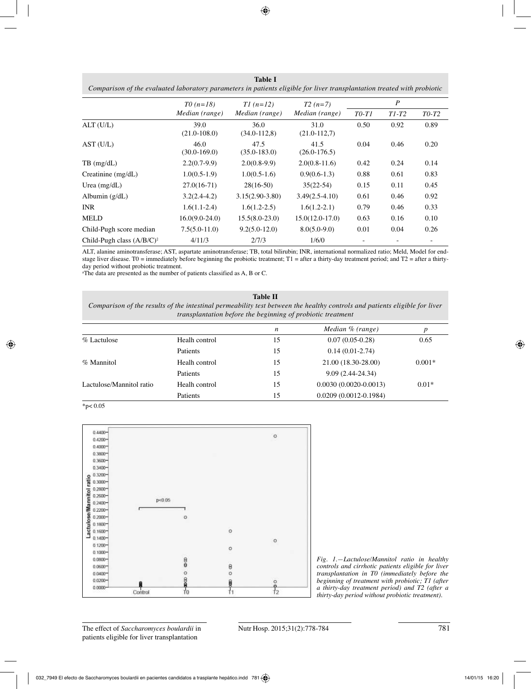| Comparison of the evaluated laboratory parameters in patients eligible for liver transplantation treated with probiotic |                          |                          |                             |                  |         |         |  |  |
|-------------------------------------------------------------------------------------------------------------------------|--------------------------|--------------------------|-----------------------------|------------------|---------|---------|--|--|
|                                                                                                                         | $T0(n=18)$               | $TI(n=12)$               | $T2(n=7)$<br>Median (range) | $\boldsymbol{P}$ |         |         |  |  |
|                                                                                                                         | Median (range)           | Median (range)           |                             | $T0-T1$          | $T1-T2$ | $T0-T2$ |  |  |
| ALT(U/L)                                                                                                                | 39.0<br>$(21.0 - 108.0)$ | 36.0<br>$(34.0 - 112.8)$ | 31.0<br>$(21.0 - 112.7)$    | 0.50             | 0.92    | 0.89    |  |  |
| AST (U/L)                                                                                                               | 46.0<br>$(30.0 - 169.0)$ | 47.5<br>$(35.0 - 183.0)$ | 41.5<br>$(26.0 - 176.5)$    | 0.04             | 0.46    | 0.20    |  |  |
| $TB$ (mg/dL)                                                                                                            | $2.2(0.7-9.9)$           | $2.0(0.8-9.9)$           | $2.0(0.8-11.6)$             | 0.42             | 0.24    | 0.14    |  |  |
| Creatinine $(mg/dL)$                                                                                                    | $1.0(0.5-1.9)$           | $1.0(0.5-1.6)$           | $0.9(0.6-1.3)$              | 0.88             | 0.61    | 0.83    |  |  |
| Urea $(mg/dL)$                                                                                                          | $27.0(16-71)$            | $28(16-50)$              | $35(22-54)$                 | 0.15             | 0.11    | 0.45    |  |  |
| Albumin $(g/dL)$                                                                                                        | $3.2(2.4-4.2)$           | $3.15(2.90-3.80)$        | $3.49(2.5-4.10)$            | 0.61             | 0.46    | 0.92    |  |  |
| <b>INR</b>                                                                                                              | $1.6(1.1-2.4)$           | $1.6(1.2-2.5)$           | $1.6(1.2-2.1)$              | 0.79             | 0.46    | 0.33    |  |  |
| <b>MELD</b>                                                                                                             | $16.0(9.0-24.0)$         | $15.5(8.0-23.0)$         | $15.0(12.0-17.0)$           | 0.63             | 0.16    | 0.10    |  |  |
| Child-Pugh score median                                                                                                 | $7.5(5.0-11.0)$          | $9.2(5.0-12.0)$          | $8.0(5.0-9.0)$              | 0.01             | 0.04    | 0.26    |  |  |
| Child-Pugh class $(A/B/C)^{\frac{1}{2}}$                                                                                | 4/11/3                   | 2/7/3                    | 1/6/0                       |                  |         |         |  |  |

**Table I**

ALT, alanine aminotransferase; AST, aspartate aminotransferase; TB, total bilirubin; INR, international normalized ratio; Meld, Model for endstage liver disease. T0 = immediately before beginning the probiotic treatment;  $T1$  = after a thirty-day treatment period; and  $T2$  = after a thirtyday period without probiotic treatment.

a The data are presented as the number of patients classified as A, B or C.

#### **Table II**

*Comparison of the results of the intestinal permeability test between the healthy controls and patients eligible for liver transplantation before the beginning of probiotic treatment*

|                          |                 | n  | Median $\%$ (range)       | p        |
|--------------------------|-----------------|----|---------------------------|----------|
| % Lactulose              | Healh control   | 15 | $0.07(0.05-0.28)$         | 0.65     |
|                          | Patients        | 15 | $0.14(0.01-2.74)$         |          |
| % Mannitol               | Healh control   | 15 | 21.00 (18.30-28.00)       | $0.001*$ |
|                          | <b>Patients</b> | 15 | $9.09(2.44-24.34)$        |          |
| Lactulose/Mannitol ratio | Healh control   | 15 | $0.0030(0.0020-0.0013)$   | $0.01*$  |
|                          | Patients        | 15 | $0.0209(0.0012 - 0.1984)$ |          |

 $*p$  < 0.05



*Fig. 1.—Lactulose/Mannitol ratio in healthy controls and cirrhotic patients eligible for liver transplantation in T0 (immediately before the beginning of treatment with probiotic; T1 (after a thirty-day treatment period) and T2 (after a thirty-day period without probiotic treatment).*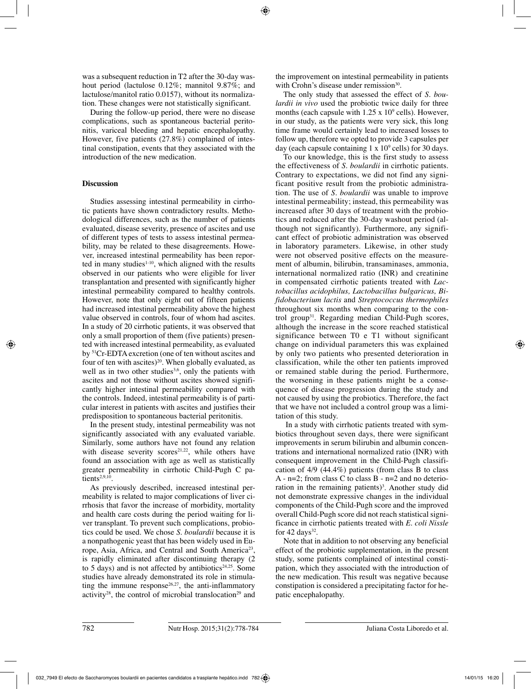was a subsequent reduction in T2 after the 30-day washout period (lactulose 0.12%; mannitol 9.87%; and lactulose/manitol ratio 0.0157), without its normalization. These changes were not statistically significant.

During the follow-up period, there were no disease complications, such as spontaneous bacterial peritonitis, variceal bleeding and hepatic encephalopathy. However, five patients (27.8%) complained of intestinal constipation, events that they associated with the introduction of the new medication.

## **Discussion**

Studies assessing intestinal permeability in cirrhotic patients have shown contradictory results. Methodological differences, such as the number of patients evaluated, disease severity, presence of ascites and use of different types of tests to assess intestinal permeability, may be related to these disagreements. However, increased intestinal permeability has been reported in many studies $1-10$ , which aligned with the results observed in our patients who were eligible for liver transplantation and presented with significantly higher intestinal permeability compared to healthy controls. However, note that only eight out of fifteen patients had increased intestinal permeability above the highest value observed in controls, four of whom had ascites. In a study of 20 cirrhotic patients, it was observed that only a small proportion of them (five patients) presented with increased intestinal permeability, as evaluated by 51Cr-EDTA excretion (one of ten without ascites and four of ten with ascites)<sup>20</sup>. When globally evaluated, as well as in two other studies<sup>3,6</sup>, only the patients with ascites and not those without ascites showed significantly higher intestinal permeability compared with the controls. Indeed, intestinal permeability is of particular interest in patients with ascites and justifies their predisposition to spontaneous bacterial peritonitis.

In the present study, intestinal permeability was not significantly associated with any evaluated variable. Similarly, some authors have not found any relation with disease severity scores<sup>21,22</sup>, while others have found an association with age as well as statistically greater permeability in cirrhotic Child-Pugh C patients $2,9,10$ .

As previously described, increased intestinal permeability is related to major complications of liver cirrhosis that favor the increase of morbidity, mortality and health care costs during the period waiting for liver transplant. To prevent such complications, probiotics could be used. We chose *S. boulardii* because it is a nonpathogenic yeast that has been widely used in Europe, Asia, Africa, and Central and South America<sup>23</sup>, is rapidly eliminated after discontinuing therapy (2 to 5 days) and is not affected by antibiotics<sup>24,25</sup>. Some studies have already demonstrated its role in stimulating the immune response<sup>26,27</sup>, the anti-inflammatory activity<sup>28</sup>, the control of microbial translocation<sup>29</sup> and the improvement on intestinal permeability in patients with Crohn's disease under remission<sup>30</sup>.

The only study that assessed the effect of *S. boulardii in vivo* used the probiotic twice daily for three months (each capsule with  $1.25 \times 10^9$  cells). However, in our study, as the patients were very sick, this long time frame would certainly lead to increased losses to follow up, therefore we opted to provide 3 capsules per day (each capsule containing  $1 \times 10^9$  cells) for 30 days.

To our knowledge, this is the first study to assess the effectiveness of *S. boulardii* in cirrhotic patients. Contrary to expectations, we did not find any significant positive result from the probiotic administration. The use of *S. boulardii* was unable to improve intestinal permeability; instead, this permeability was increased after 30 days of treatment with the probiotics and reduced after the 30-day washout period (although not significantly). Furthermore, any significant effect of probiotic administration was observed in laboratory parameters. Likewise, in other study were not observed positive effects on the measurement of albumin, bilirubin, transaminases, ammonia, international normalized ratio (INR) and creatinine in compensated cirrhotic patients treated with *Lactobacillus acidophilus, Lactobacillus bulgaricus, Bifidobacterium lactis* and *Streptococcus thermophiles* throughout six months when comparing to the control group<sup>31</sup>. Regarding median Child-Pugh scores, although the increase in the score reached statistical significance between T0 e T1 without significant change on individual parameters this was explained by only two patients who presented deterioration in classification, while the other ten patients improved or remained stable during the period. Furthermore, the worsening in these patients might be a consequence of disease progression during the study and not caused by using the probiotics. Therefore, the fact that we have not included a control group was a limitation of this study.

 In a study with cirrhotic patients treated with symbiotics throughout seven days, there were significant improvements in serum bilirubin and albumin concentrations and international normalized ratio (INR) with consequent improvement in the Child-Pugh classification of 4/9 (44.4%) patients (from class B to class A -  $n=2$ ; from class C to class B -  $n=2$  and no deterioration in the remaining patients)<sup>3</sup>. Another study did not demonstrate expressive changes in the individual components of the Child-Pugh score and the improved overall Child-Pugh score did not reach statistical significance in cirrhotic patients treated with *E. coli Nissle* for  $42 \text{ days}^{32}$ .

Note that in addition to not observing any beneficial effect of the probiotic supplementation, in the present study, some patients complained of intestinal constipation, which they associated with the introduction of the new medication. This result was negative because constipation is considered a precipitating factor for hepatic encephalopathy.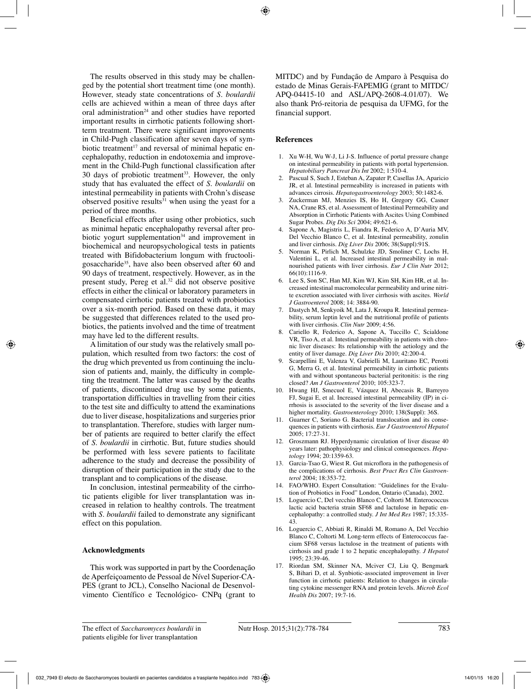The results observed in this study may be challenged by the potential short treatment time (one month). However, steady state concentrations of *S. boulardii* cells are achieved within a mean of three days after oral administration<sup>24</sup> and other studies have reported important results in cirrhotic patients following shortterm treatment. There were significant improvements in Child-Pugh classification after seven days of symbiotic treatment<sup>17</sup> and reversal of minimal hepatic encephalopathy, reduction in endotoxemia and improvement in the Child-Pugh functional classification after 30 days of probiotic treatment<sup>33</sup>. However, the only study that has evaluated the effect of *S. boulardii* on intestinal permeability in patients with Crohn's disease observed positive results $31$  when using the yeast for a period of three months.

Beneficial effects after using other probiotics, such as minimal hepatic encephalopathy reversal after probiotic yogurt supplementation<sup>34</sup> and improvement in biochemical and neuropsychological tests in patients treated with Bifidobacterium longum with fructooligosaccharide<sup>35</sup>, have also been observed after 60 and 90 days of treatment, respectively. However, as in the present study, Pereg et al.32 did not observe positive effects in either the clinical or laboratory parameters in compensated cirrhotic patients treated with probiotics over a six-month period. Based on these data, it may be suggested that differences related to the used probiotics, the patients involved and the time of treatment may have led to the different results.

A limitation of our study was the relatively small population, which resulted from two factors: the cost of the drug which prevented us from continuing the inclusion of patients and, mainly, the difficulty in completing the treatment. The latter was caused by the deaths of patients, discontinued drug use by some patients, transportation difficulties in travelling from their cities to the test site and difficulty to attend the examinations due to liver disease, hospitalizations and surgeries prior to transplantation. Therefore, studies with larger number of patients are required to better clarify the effect of *S. boulardii* in cirrhotic. But, future studies should be performed with less severe patients to facilitate adherence to the study and decrease the possibility of disruption of their participation in the study due to the transplant and to complications of the disease.

In conclusion, intestinal permeability of the cirrhotic patients eligible for liver transplantation was increased in relation to healthy controls. The treatment with *S. boulardii* failed to demonstrate any significant effect on this population.

#### **Acknowledgments**

This work was supported in part by the Coordenação de Aperfeiçoamento de Pessoal de Nível Superior-CA-PES (grant to JCL), Conselho Nacional de Desenvolvimento Científico e Tecnológico- CNPq (grant to MITDC) and by Fundação de Amparo à Pesquisa do estado de Minas Gerais-FAPEMIG (grant to MITDC/ APQ-04415-10 and ASL/APQ-2608-4.01/07). We also thank Pró-reitoria de pesquisa da UFMG, for the financial support.

#### **References**

- 1. Xu W-H, Wu W-J, Li J-S. Influence of portal pressure change on intestinal permeability in patients with portal hypertension. *Hepatobiliary Pancreat Dis Int* 2002; 1:510-4.
- 2. Pascual S, Such J, Esteban A, Zapater P, Casellas JA, Aparicio JR, et al. Intestinal permeability is increased in patients with advances cirrosis. *Hepatogastroenterology* 2003; 50:1482-6.
- 3. Zuckerman MJ, Menzies IS, Ho H, Gregory GG, Casner NA, Crane RS, et al. Assessment of Intestinal Permeability and Absorption in Cirrhotic Patients with Ascites Using Combined Sugar Probes. *Dig Dis Sci* 2004; 49:621-6.
- 4. Sapone A, Magistris L, Fiandra R, Federico A, D'Auria MV, Del Vecchio Blanco C, et al. Intestinal permeability, zonulin and liver cirrhosis. *Dig Liver Dis* 2006; 38(Suppl):91S.
- 5. Norman K, Pirlich M, Schulzke JD, Smoliner C, Lochs H, Valentini L, et al. Increased intestinal permeability in malnourished patients with liver cirrhosis. *Eur J Clin Nutr* 2012; 66(10):1116-9.
- 6. Lee S, Son SC, Han MJ, Kim WJ, Kim SH, Kim HR, et al. Increased intestinal macromolecular permeability and urine nitrite excretion associated with liver cirrhosis with ascites. *World J Gastroenterol* 2008; 14: 3884-90.
- 7. Dastych M, Senkyoik M, Lata J, Kroupa R. Intestinal permeability, serum leptin level and the nutritional profile of patients with liver cirrhosis. *Clin Nutr* 2009; 4:56.
- 8. Cariello R, Federico A, Sapone A, Tuccillo C, Scialdone VR, Tiso A, et al. Intestinal permeability in patients with chronic liver diseases: Its relationship with the aetiology and the entity of liver damage. *Dig Liver Dis* 2010; 42:200-4.
- 9. Scarpellini E, Valenza V, Gabrielli M, Lauritano EC, Perotti G, Merra G, et al. Intestinal permeability in cirrhotic patients with and without spontaneous bacterial peritonitis: is the ring closed? *Am J Gastroenterol* 2010; 105:323-7.
- 10. Hwang HJ, Smecuol E, Vázquez H, Abecasis R, Barreyro FJ, Sugai E, et al. Increased intestinal permeability (IP) in cirrhosis is associated to the severity of the liver disease and a higher mortality. *Gastroenterology* 2010; 138(Suppl): 36S.
- 11. Guarner C, Soriano G. Bacterial translocation and its consequences in patients with cirrhosis. *Eur J Gastroenterol Hepatol*  2005; 17:27-31.
- 12. Groszmann RJ. Hyperdynamic circulation of liver disease 40 years later: pathophysiology and clinical consequences. *Hepatology* 1994; 20:1359-63.
- 13. Garcia-Tsao G, Wiest R. Gut microflora in the pathogenesis of the complications of cirrhosis. *Best Pract Res Clin Gastroenterol* 2004; 18:353-72.
- 14. FAO/WHO. Expert Consultation: "Guidelines for the Evalution of Probiotics in Food" London, Ontario (Canada), 2002.
- 15. Loguercio C, Del vecchio Blanco C, Coltorti M. Enterococcus lactic acid bacteria strain SF68 and lactulose in hepatic encephalopathy: a controlled study. *J Int Med Res* 1987; 15:335- 43.
- 16. Loguercio C, Abbiati R, Rinaldi M, Romano A, Del Vecchio Blanco C, Coltorti M. Long-term effects of Enterococcus faecium SF68 versus lactulose in the treatment of patients with cirrhosis and grade 1 to 2 hepatic encephalopathy. *J Hepatol* 1995; 23:39-46.
- 17. Riordan SM, Skinner NA, Mciver CJ, Liu Q, Bengmark S, Bihari D, et al. Synbiotic-associated improvement in liver function in cirrhotic patients: Relation to changes in circulating cytokine messenger RNA and protein levels. *Microb Ecol Health Dis* 2007; 19:7-16.